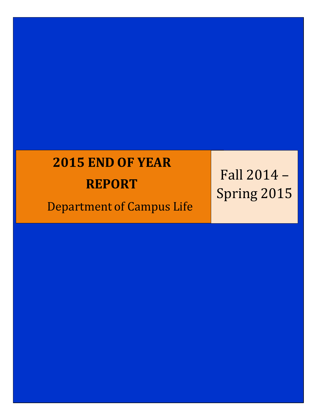# **2015 END OF YEAR**

## **REPORT**

Department of Campus Life

Fall 2014 – Spring 2015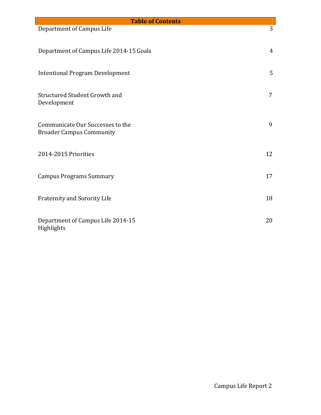| <b>Table of Contents</b>                                            |    |  |  |  |  |
|---------------------------------------------------------------------|----|--|--|--|--|
| Department of Campus Life                                           | 3  |  |  |  |  |
| Department of Campus Life 2014-15 Goals                             | 4  |  |  |  |  |
| <b>Intentional Program Development</b>                              | 5  |  |  |  |  |
| Structured Student Growth and<br>Development                        | 7  |  |  |  |  |
| Communicate Our Successes to the<br><b>Broader Campus Community</b> | 9  |  |  |  |  |
| 2014-2015 Priorities                                                | 12 |  |  |  |  |
| <b>Campus Programs Summary</b>                                      | 17 |  |  |  |  |
| <b>Fraternity and Sorority Life</b>                                 | 18 |  |  |  |  |
| Department of Campus Life 2014-15<br>Highlights                     | 20 |  |  |  |  |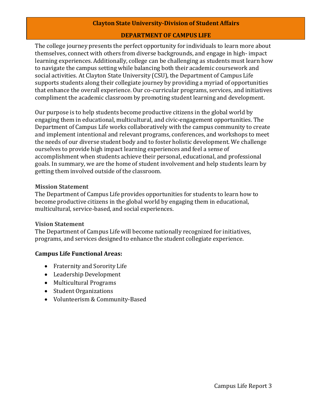#### **Clayton State University-Division of Student Affairs**

#### **DEPARTMENTOF CAMPUS LIFE**

The college journey presents the perfect opportunity for individuals to learn more about themselves, connect with others from diverse backgrounds, and engage in high- impact learning experiences. Additionally, college can be challenging as students must learn how to navigate the campus setting while balancing both their academic coursework and social activities. At Clayton State University (CSU), the Department of Campus Life supports students along their collegiate journey by providing a myriad of opportunities that enhance the overall experience. Our co-curricular programs, services, and initiatives compliment the academic classroom by promoting student learning and development.

Our purpose is to help students become productive citizens in the global world by engaging them in educational, multicultural, and civic-engagement opportunities. The Department of Campus Life works collaboratively with the campus community to create and implement intentional and relevant programs, conferences, and workshops to meet the needs of our diverse student body and to foster holistic development. We challenge ourselves to provide high impact learning experiences and feel a sense of accomplishment when students achieve their personal, educational, and professional goals. In summary, we are the home of student involvement and help students learn by getting them involved outside of the classroom.

#### **Mission Statement**

The Department of Campus Life provides opportunities for students to learn how to become productive citizens in the global world by engaging them in educational, multicultural, service-based, and social experiences.

#### **Vision Statement**

The Department of Campus Life will become nationally recognized for initiatives, programs, and services designed to enhance the student collegiate experience.

#### **Campus Life Functional Areas:**

- Fraternity and Sorority Life
- Leadership Development
- Multicultural Programs
- Student Organizations
- Volunteerism & Community-Based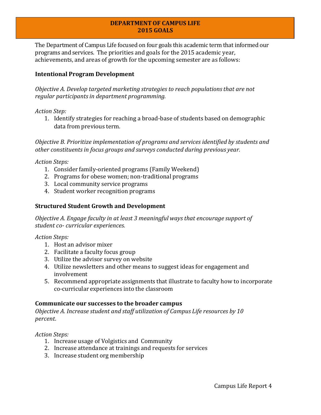#### **DEPARTMENTOF CAMPUS LIFE 2015 GOALS**

The Department of Campus Life focused on four goals this academic term that informed our programs and services. The priorities and goals for the 2015 academic year, achievements, and areas of growth for the upcoming semester are as follows:

#### **Intentional Program Development**

*Objective A. Develop targeted marketing strategies to reach populationsthat are not regular participantsin department programming.*

*Action Step:*

1. Identify strategies for reaching a broad-base of students based on demographic data from previous term.

*Objective B. Prioritize implementation of programs and services identified by students and other constituents in focus groups and surveys conducted during previous year.*

*Action Steps:*

- 1. Consider family-oriented programs (Family Weekend)
- 2. Programs for obese women; non-traditional programs
- 3. Local community service programs
- 4. Student worker recognition programs

#### **Structured Student Growth and Development**

*Objective A. Engage faculty in at least 3 meaningful ways that encourage support of student co- curricular experiences.*

*Action Steps:*

- 1. Host an advisor mixer
- 2. Facilitate a faculty focus group
- 3. Utilize the advisor survey on website
- 4. Utilize newsletters and other means to suggest ideas for engagement and involvement
- 5. Recommend appropriate assignments that illustrate to faculty how to incorporate co-curricular experiences into the classroom

#### **Communicate our successes to the broader campus**

*Objective A. Increase student and staff utilization of Campus Life resources by 10 percent.* 

*Action Steps:*

- 1. Increase usage of Volgistics and Community
- 2. Increase attendance at trainings and requests for services
- 3. Increase student org membership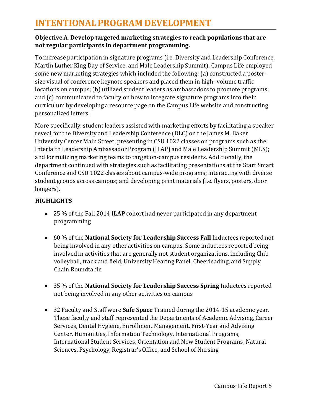## **INTENTIONALPROGRAM DEVELOPMENT**

#### **ObjectiveA**. **Develop targeted marketing strategies to reach populations that are not regular participants in department programming.**

To increase participation in signature programs (i.e. Diversity and Leadership Conference, Martin Luther King Day of Service, and Male Leadership Summit), Campus Life employed some new marketing strategies which included the following: (a) constructed a postersize visual of conference keynote speakers and placed them in high- volume traffic locations on campus; (b) utilized student leaders as ambassadors to promote programs; and (c) communicated to faculty on how to integrate signature programs into their curriculum by developing a resource page on the Campus Life website and constructing personalized letters.

More specifically, student leaders assisted with marketing efforts by facilitating a speaker reveal for the Diversity and Leadership Conference (DLC) on the James M. Baker University Center Main Street; presenting in CSU 1022 classes on programs such as the Interfaith Leadership Ambassador Program (ILAP) and Male Leadership Summit (MLS); and formulizing marketing teams to target on-campus residents. Additionally, the department continued with strategies such as facilitating presentations at the Start Smart Conference and CSU 1022 classes about campus-wide programs; interacting with diverse student groups across campus; and developing print materials (i.e. flyers, posters, door hangers).

#### **HIGHLIGHTS**

- 25 % of the Fall 2014 **ILAP** cohort had never participated in any department programming
- 60 % of the **National Society for Leadership Success Fall** Inductees reported not being involved in any other activities on campus. Some inductees reported being involved in activities that are generally not student organizations, including Club volleyball, track and field, University Hearing Panel, Cheerleading, and Supply Chain Roundtable
- 35 % of the **National Society for Leadership Success Spring** Inductees reported not being involved in any other activities on campus
- 32 Faculty and Staff were **Safe Space** Trained during the 2014-15 academic year. These faculty and staff represented the Departments of Academic Advising, Career Services, Dental Hygiene, Enrollment Management, First-Year and Advising Center, Humanities, Information Technology, International Programs, International Student Services, Orientation and New Student Programs, Natural Sciences, Psychology, Registrar's Office, and School of Nursing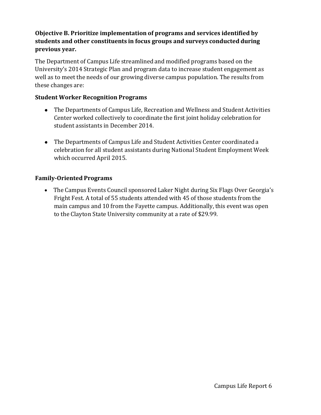#### **Objective B. Prioritize implementation of programs and services identified by students and other constituents in focus groups and surveys conducted during previous year.**

The Department of Campus Life streamlined and modified programs based on the University's 2014 Strategic Plan and program data to increase student engagement as well as to meet the needs of our growing diverse campus population. The results from these changes are:

#### **Student Worker Recognition Programs**

- The Departments of Campus Life, Recreation and Wellness and Student Activities Center worked collectively to coordinate the first joint holiday celebration for student assistants in December 2014.
- The Departments of Campus Life and Student Activities Center coordinated a celebration for all student assistants during National Student Employment Week which occurred April 2015.

#### **Family-Oriented Programs**

 The Campus Events Council sponsored Laker Night during Six Flags Over Georgia's Fright Fest. A total of 55 students attended with 45 of those students from the main campus and 10 from the Fayette campus. Additionally, this event was open to the Clayton State University community at a rate of \$29.99.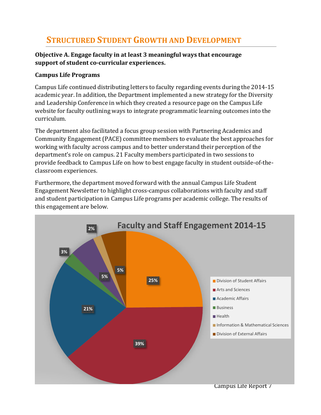### **STRUCTURED STUDENT GROWTH AND DEVELOPMENT**

#### **Objective A. Engage faculty in at least 3 meaningful ways that encourage support of student co-curricular experiences.**

#### **Campus Life Programs**

Campus Life continued distributing letters to faculty regarding events during the 2014-15 academic year. In addition, the Department implemented a new strategy for the Diversity and Leadership Conference in which they created a resource page on the Campus Life website for faculty outlining ways to integrate programmatic learning outcomes into the curriculum.

The department also facilitated a focus group session with Partnering Academics and Community Engagement (PACE) committee members to evaluate the best approaches for working with faculty across campus and to better understand their perception of the department's role on campus. 21 Faculty members participated in two sessions to provide feedback to Campus Life on how to best engage faculty in student outside-of-theclassroom experiences.

Furthermore, the department moved forward with the annual Campus Life Student Engagement Newsletter to highlight cross-campus collaborations with faculty and staff and student participation in Campus Life programs per academic college. The results of this engagement are below.

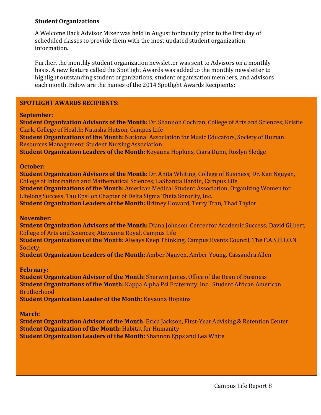#### **Student Organizations**

A Welcome Back Advisor Mixer was held in August for faculty prior to the first day of scheduled classes to provide them with the most updated student organization information.

Further, the monthly student organization newsletter was sent to Advisors on a monthly basis. A new feature called the Spotlight Awards was added to the monthly newsletter to highlight outstanding student organizations, student organization members, and advisors each month. Below are the names of the 2014 Spotlight Awards Recipients:

#### **SPOTLIGHT AWARDS RECIPIENTS:**

#### **September:**

**Student Organization Advisors of the Month:** Dr. Shannon Cochran, College of Arts and Sciences; Kristie Clark, College of Health; Natasha Hutson, Campus Life **Student Organizations of the Month:** National Association for Music Educators, Society of Human Resources Management, Student Nursing Association **Student Organization Leaders of the Month:** Keyauna Hopkins, Ciara Dunn, Roslyn Sledge

#### **October:**

**Student Organization Advisors of the Month:** Dr. Anita Whiting, College of Business; Dr. Ken Nguyen, College of Information and Mathematical Sciences; LaShanda Hardin, Campus Life **Student Organizations of the Month:** American Medical Student Association, Organizing Women for Lifelong Success, Tau Epsilon Chapter of Delta Sigma Theta Sorority, Inc. **Student Organization Leaders of the Month:** Britney Howard, Terry Tran, Thad Taylor

#### **November:**

**Student Organization Advisors of the Month:** Diana Johnson, Center for Academic Success; David Gilbert, College of Arts and Sciences; Atawanna Royal, Campus Life

**Student Organizations of the Month:** Always Keep Thinking, Campus Events Council, The F.A.S.H.I.O.N. Society;

**Student Organization Leaders of the Month:** Amber Nguyen, Amber Young, Cassandra Allen

#### **February:**

**Student Organization Advisor of the Month:** Sherwin James, Office of the Dean of Business **Student Organizations of the Month:** Kappa Alpha Psi Fraternity, Inc.; Student African American Brotherhood

**Student Organization Leader of the Month:** Keyauna Hopkins

#### **March:**

**Student Organization Advisor of the Month**: Erica Jackson, First-Year Advising & Retention Center **Student Organization of the Month:** Habitat for Humanity **Student Organization Leaders of the Month:** Shannon Epps and Lea White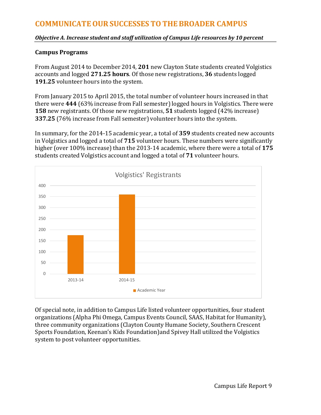*Objective A. Increase student and staff utilization of Campus Life resources by 10 percent*

#### **Campus Programs**

From August 2014 to December 2014, **201** new Clayton State students created Volgistics accounts and logged **271.25 hours**. Of those new registrations, **36** students logged **191.25** volunteer hours into the system.

From January 2015 to April 2015, the total number of volunteer hours increased in that there were **444** (63% increase from Fall semester)logged hours in Volgistics. There were **158** new registrants. Of those new registrations, **51** students logged (42% increase) **337.25** (76% increase from Fall semester) volunteer hours into the system.

In summary, for the 2014-15 academic year, a total of **359** students created new accounts in Volgistics and logged a total of **715** volunteer hours. These numbers were significantly higher (over 100% increase) than the 2013-14 academic, where there were a total of **175**  students created Volgistics account and logged a total of **71** volunteer hours.



Of special note, in addition to Campus Life listed volunteer opportunities, four student organizations (Alpha Phi Omega, Campus Events Council, SAAS, Habitat for Humanity), three community organizations (Clayton County Humane Society, Southern Crescent Sports Foundation, Keenan's Kids Foundation)and Spivey Hall utilized the Volgistics system to post volunteer opportunities.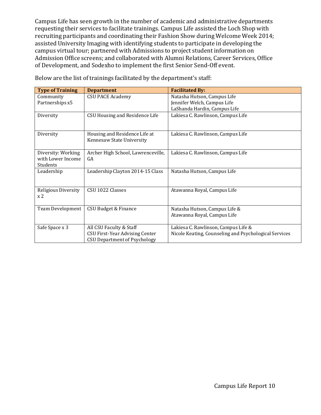Campus Life has seen growth in the number of academic and administrative departments requesting their services to facilitate trainings. Campus Life assisted the Loch Shop with recruiting participants and coordinating their Fashion Show during Welcome Week 2014; assisted University Imaging with identifying students to participate in developing the campus virtual tour; partnered with Admissions to project student information on Admission Office screens; and collaborated with Alumni Relations, Career Services, Office of Development, and Sodexho to implement the first Senior Send-Off event.

| <b>Type of Training</b> | <b>Department</b>                   | <b>Facilitated By:</b>                                |
|-------------------------|-------------------------------------|-------------------------------------------------------|
| Community               | <b>CSU PACE Academy</b>             | Natasha Hutson, Campus Life                           |
| Partnerships x5         |                                     | Jennifer Welch, Campus Life                           |
|                         |                                     | LaShanda Hardin, Campus Life                          |
| Diversity               | CSU Housing and Residence Life      | Lakiesa C. Rawlinson, Campus Life                     |
|                         |                                     |                                                       |
| Diversity               | Housing and Residence Life at       | Lakiesa C. Rawlinson, Campus Life                     |
|                         | Kennesaw State University           |                                                       |
| Diversity: Working      | Archer High School, Lawrenceville,  | Lakiesa C. Rawlinson, Campus Life                     |
| with Lower Income       | GA                                  |                                                       |
| Students                |                                     |                                                       |
| Leadership              | Leadership Clayton 2014-15 Class    | Natasha Hutson, Campus Life                           |
|                         |                                     |                                                       |
| Religious Diversity     | CSU 1022 Classes                    | Atawanna Royal, Campus Life                           |
| x <sub>2</sub>          |                                     |                                                       |
| Team Development        | CSU Budget & Finance                | Natasha Hutson, Campus Life &                         |
|                         |                                     | Atawanna Royal, Campus Life                           |
|                         |                                     |                                                       |
| Safe Space x 3          | All CSU Faculty & Staff             | Lakiesa C. Rawlinson, Campus Life &                   |
|                         | CSU First-Year Advising Center      | Nicole Keating, Counseling and Psychological Services |
|                         | <b>CSU Department of Psychology</b> |                                                       |

Below are the list of trainings facilitated by the department's staff: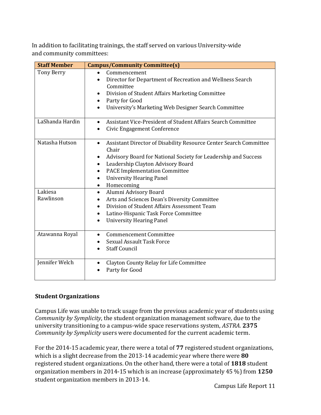In addition to facilitating trainings, the staff served on various University-wide and community committees:

| <b>Staff Member</b>  | <b>Campus/Community Committee(s)</b>                                                                                                                                                                                                                                                                                                             |
|----------------------|--------------------------------------------------------------------------------------------------------------------------------------------------------------------------------------------------------------------------------------------------------------------------------------------------------------------------------------------------|
| <b>Tony Berry</b>    | Commencement<br>Director for Department of Recreation and Wellness Search<br>$\bullet$<br>Committee<br>Division of Student Affairs Marketing Committee<br>$\bullet$<br>Party for Good<br>$\bullet$<br>University's Marketing Web Designer Search Committee<br>$\bullet$                                                                          |
| LaShanda Hardin      | Assistant Vice-President of Student Affairs Search Committee<br>$\bullet$<br>Civic Engagement Conference<br>$\bullet$                                                                                                                                                                                                                            |
| Natasha Hutson       | Assistant Director of Disability Resource Center Search Committee<br>$\bullet$<br>Chair<br>Advisory Board for National Society for Leadership and Success<br>٠<br>Leadership Clayton Advisory Board<br>$\bullet$<br><b>PACE Implementation Committee</b><br>$\bullet$<br><b>University Hearing Panel</b><br>$\bullet$<br>Homecoming<br>$\bullet$ |
| Lakiesa<br>Rawlinson | Alumni Advisory Board<br>$\bullet$<br>Arts and Sciences Dean's Diversity Committee<br>$\bullet$<br>Division of Student Affairs Assessment Team<br>Latino-Hispanic Task Force Committee<br>$\bullet$<br><b>University Hearing Panel</b><br>$\bullet$                                                                                              |
| Atawanna Royal       | <b>Commencement Committee</b><br>$\bullet$<br><b>Sexual Assault Task Force</b><br><b>Staff Council</b>                                                                                                                                                                                                                                           |
| Jennifer Welch       | Clayton County Relay for Life Committee<br>$\bullet$<br>Party for Good                                                                                                                                                                                                                                                                           |

#### **Student Organizations**

Campus Life was unable to track usage from the previous academic year of students using *Community by Symplicity*, the student organization management software, due to the university transitioning to a campus-wide space reservations system, *ASTRA.* **2375**  *Community by Symplicity* users were documented for the current academic term.

For the 2014-15 academic year, there were a total of **77** registered student organizations, which is a slight decrease from the 2013-14 academic year where there were **80**  registered student organizations. On the other hand, there were a total of **1818** student organization members in 2014-15 which is an increase (approximately 45 %) from **1250**  student organization members in 2013-14.

Campus Life Report 11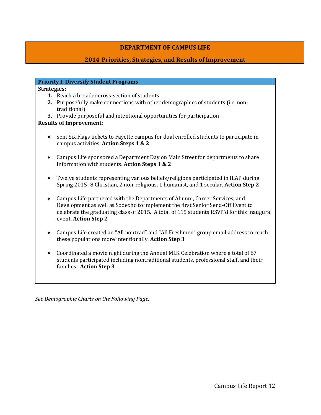#### **DEPARTMENTOF CAMPUS LIFE**

#### **2014-Priorities, Strategies, and Results of Improvement**

|                    | <b>Priority I: Diversify Student Programs</b>                                             |
|--------------------|-------------------------------------------------------------------------------------------|
| <b>Strategies:</b> |                                                                                           |
|                    | 1. Reach a broader cross-section of students                                              |
|                    | 2. Purposefully make connections with other demographics of students (i.e. non-           |
|                    | traditional)                                                                              |
|                    | 3. Provide purposeful and intentional opportunities for participation                     |
|                    | <b>Results of Improvement:</b>                                                            |
|                    |                                                                                           |
| $\bullet$          | Sent Six Flags tickets to Fayette campus for dual enrolled students to participate in     |
|                    | campus activities. Action Steps 1 & 2                                                     |
|                    |                                                                                           |
| $\bullet$          | Campus Life sponsored a Department Day on Main Street for departments to share            |
|                    | information with students. Action Steps 1 & 2                                             |
|                    |                                                                                           |
|                    | Twelve students representing various beliefs/religions participated in ILAP during        |
|                    | Spring 2015-8 Christian, 2 non-religious, 1 humanist, and 1 secular. Action Step 2        |
|                    | Campus Life partnered with the Departments of Alumni, Career Services, and                |
|                    | Development as well as Sodexho to implement the first Senior Send-Off Event to            |
|                    | celebrate the graduating class of 2015. A total of 115 students RSVP'd for this inaugural |
|                    | event. Action Step 2                                                                      |
|                    |                                                                                           |
| $\bullet$          | Campus Life created an "All nontrad" and "All Freshmen" group email address to reach      |
|                    | these populations more intentionally. Action Step 3                                       |
|                    |                                                                                           |
| $\bullet$          | Coordinated a movie night during the Annual MLK Celebration where a total of 67           |
|                    | students participated including nontraditional students, professional staff, and their    |
|                    | families. Action Step 3                                                                   |
|                    |                                                                                           |

*See Demographic Charts on the Following Page.*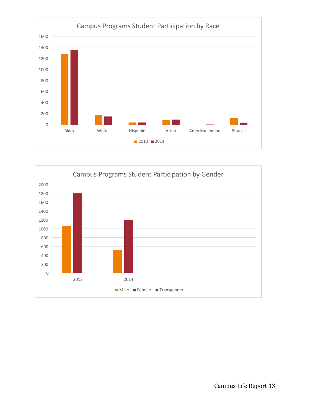

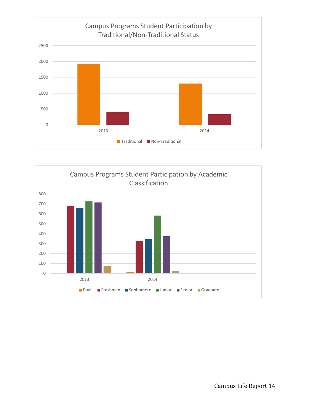

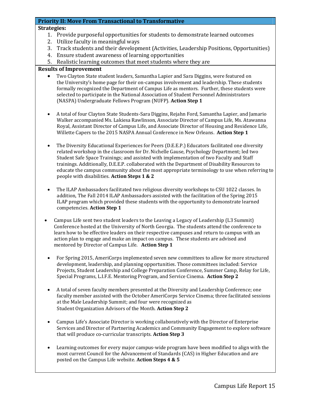#### **Priority II: Move From Transactional to Transformative**

#### **Strategies:**

- 1. Provide purposeful opportunities for students to demonstrate learned outcomes
- 2. Utilize faculty in meaningful ways
- 3. Track students and their development (Activities, Leadership Positions, Opportunities)
- 4. Ensure student awareness of learning opportunities
- 5. Realistic learning outcomes that meet students where they are

#### **Results of Improvement**

- Two Clayton State student leaders, Samantha Lapier and Sara Diggins, were featured on the University's home page for their on-campus involvement and leadership. These students formally recognized the Department of Campus Life as mentors. Further, these students were selected to participate in the National Association of Student Personnel Administrators (NASPA) Undergraduate Fellows Program (NUFP). **Action Step 1**
- A total of four Clayton State Students-Sara Diggins, Rejahn Ford, Samantha Lapier, and Jamario Walker accompanied Ms. Lakiesa Rawlinson, Associate Director of Campus Life, Ms. Atawanna Royal, Assistant Director of Campus Life, and Associate Director of Housing and Residence Life, Willette Capers to the 2015 NASPA Annual Conference in New Orleans. **Action Step 1**
- The Diversity Educational Experiences for Peers (D.E.E.P.) Educators facilitated one diversity related workshop in the classroom for Dr. Nichelle Gause, Psychology Department; led two Student Safe Space Trainings; and assisted with implementation of two Faculty and Staff trainings. Additionally, D.E.E.P. collaborated with the Department of Disability Resources to educate the campus community about the most appropriate terminology to use when referring to people with disabilities. **Action Steps 1 & 2**
- The ILAP Ambassadors facilitated two religious diversity workshops to CSU 1022 classes. In addition, The Fall 2014 ILAP Ambassadors assisted with the facilitation of the Spring 2015 ILAP program which provided these students with the opportunity to demonstrate learned competencies. **Action Step 1**
- Campus Life sent two student leaders to the Leaving a Legacy of Leadership (L3 Summit) Conference hosted at the University of North Georgia. The students attend the conference to learn how to be effective leaders on their respective campuses and return to campus with an action plan to engage and make an impact on campus. These students are advised and mentored by Director of Campus Life. **Action Step 1**
- For Spring 2015, AmeriCorps implemented seven new committees to allow for more structured development, leadership, and planning opportunities. Those committees included: Service Projects, Student Leadership and College Preparation Conference, Summer Camp, Relay for Life, Special Programs, L.I.F.E. Mentoring Program, and Service Cinema. **Action Step 2**
- A total of seven faculty members presented at the Diversity and Leadership Conference; one faculty member assisted with the October AmeriCorps Service Cinema; three facilitated sessions at the Male Leadership Summit; and four were recognized as Student Organization Advisors of the Month. **Action Step 2**
- Campus Life's Associate Director is working collaboratively with the Director of Enterprise Services and Director of Partnering Academics and Community Engagement to explore software that will produce co-curricular transcripts. **Action Step 3**
- Learning outcomes for every major campus-wide program have been modified to align with the most current Council for the Advancement of Standards (CAS) in Higher Education and are posted on the Campus Life website. **Action Steps 4 & 5**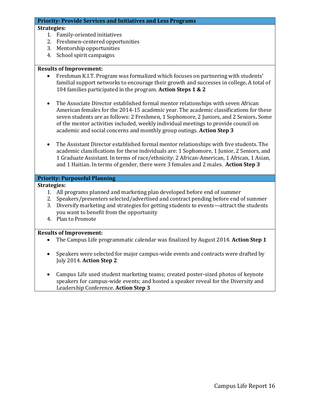#### **Priority: Provide Services and Initiatives and Less Programs**

#### **Strategies:**

- 1. Family-oriented initiatives
- 2. Freshmen-centered opportunities
- 3. Mentorship opportunities
- 4. School spirit campaigns

#### **Results of Improvement:**

- Freshman K.I.T. Program was formalized which focuses on partnering with students' familial support networks to encourage their growth and successes in college**.** A total of 104 families participated in the program. **Action Steps 1 & 2**
- The Associate Director established formal mentor relationships with seven African American females for the 2014-15 academic year. The academic classifications for these seven students are as follows: 2 Freshmen, 1 Sophomore, 2 Juniors, and 2 Seniors**.** Some of the mentor activities included, weekly individual meetings to provide council on academic and social concerns and monthly group outings. **Action Step 3**
- The Assistant Director established formal mentor relationships with five students. The academic classifications for these individuals are: 1 Sophomore, 1 Junior, 2 Seniors, and 1 Graduate Assistant. In terms of race/ethnicity: 2 African-American, 1 African, 1 Asian, and 1 Haitian. In terms of gender, there were 3 females and 2 males. **Action Step 3**

#### **Priority: Purposeful Planning**

#### **Strategies:**

- 1. All programs planned and marketing plan developed before end of summer
- 2. Speakers/presenters selected/advertised and contract pending before end of summer
- 3. Diversify marketing and strategies for getting students to events—attract the students you want to benefit from the opportunity
- 4. Plan to Promote

#### **Results of Improvement:**

- The Campus Life programmatic calendar was finalized by August 2014. **Action Step 1**
- Speakers were selected for major campus-wide events and contracts were drafted by July 2014. **Action Step 2**
- Campus Life used student marketing teams; created poster-sized photos of keynote speakers for campus-wide events; and hosted a speaker reveal for the Diversity and Leadership Conference. **Action Step 3**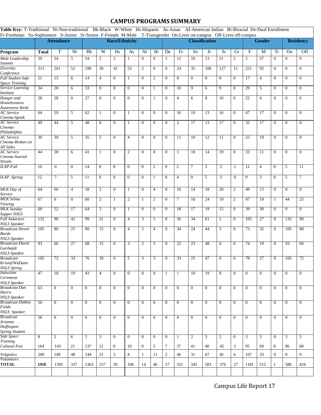#### **CAMPUS PROGRAMS SUMMARY**

**Table Key:** T-Traditional Nt-Non-traditional Bk-Black W-White Hs-Hispanic As-Asian AI-American Indian Bi-Biracial De-Dual Enrollment Fr-Freshman So-Sophomore Jr-Junior Sr-Senior F-Female M-Male T-Transgender On-Lives on-campus Off-Lives off-campus

|                                                                    |                 | <b>Attendance</b> |                  |                 |                 | <b>Race/Ethnicity</b> |                |                  |                | <b>Classification</b> |                 |                 |                | <b>Gender</b>   |                |                           | <b>Residency</b> |                |                  |                  |
|--------------------------------------------------------------------|-----------------|-------------------|------------------|-----------------|-----------------|-----------------------|----------------|------------------|----------------|-----------------------|-----------------|-----------------|----------------|-----------------|----------------|---------------------------|------------------|----------------|------------------|------------------|
| Program                                                            | <b>Total</b>    | T                 | Nt               | Bk              | W               | Hs                    | As             | AI               | Bi             | De                    | Fr              | So              | Jr             | Sr              | Gr             | $\boldsymbol{\mathrm{F}}$ | M                | <b>Tr</b>      | On               | Off              |
| Male Leadership<br>Summit                                          | 59              | 54                | 5                | 54              | $\overline{2}$  | $\overline{2}$        | $\mathbf{1}$   | $\mathbf{0}$     | $\mathbf{0}$   | -1                    | $\overline{12}$ | 10              | 13             | 21              | $\overline{2}$ | $\overline{2}$            | 57               | $\mathbf{0}$   | $\overline{0}$   | $\mathbf{0}$     |
| Diversity<br>Conference                                            | 313             | 261               | 52               | 190             | $\overline{28}$ | 42                    | 52             | $\overline{c}$   | $\mathbf{0}$   | 6                     | $\overline{24}$ | $\overline{35}$ | 106            | 127             | 15             | $\overline{221}$          | 92               | $\mathbf{0}$   | $\mathbf{0}$     | $\mathbf{0}$     |
| <b>Fall Student Safe</b><br><b>Space Training</b>                  | 21              | 15                | 6                | 14              | $\overline{4}$  | $\mathbf{0}$          | 1              | $\overline{0}$   | $\overline{2}$ | $\mathbf{0}$          | $\overline{0}$  | $\overline{0}$  | $\mathbf{0}$   | $\overline{0}$  | $\overline{0}$ | 17                        | $\overline{4}$   | $\overline{0}$ | $\overline{0}$   | $\overline{0}$   |
| Service Learning<br>Institute                                      | 34              | 28                | 6                | $\overline{33}$ | $\mathbf{0}$    | $\mathbf{0}$          | $\mathbf{0}$   | $\mathbf{0}$     | 1              | $\mathbf{0}$          | 10              | 9               | 6              | 9               | $\mathbf{0}$   | 29                        | 5                | $\mathbf{0}$   | $\mathbf{0}$     | $\boldsymbol{0}$ |
| Hunger and<br>Homelessness<br>Awareness Week                       | 28              | 28                | $\boldsymbol{0}$ | 27              | $\overline{0}$  | $\overline{0}$        | $\mathbf{0}$   | $\overline{0}$   | 1              | $\overline{0}$        | 4               | 6               | 8              | 10              | $\overline{0}$ | 22                        | 6                | $\overline{0}$ | $\mathbf{0}$     | $\mathbf{0}$     |
| AC Service<br>Cinema-Speak                                         | 64              | 59                | 5                | 62              | $\mathbf{1}$    | $\overline{0}$        | -1             | $\mathbf{0}$     | $\mathbf{0}$   | $\mathbf{0}$          | 16              | $\overline{19}$ | 13             | 16              | $\overline{0}$ | 47                        | 17               | $\overline{0}$ | $\mathbf{0}$     | $\mathbf{0}$     |
| <b>AC</b> Service<br>Cinema-                                       | 49              | 44                | 5                | 48              | $\mathbf{0}$    | $\mathbf{0}$          | 1              | $\overline{0}$   | $\overline{0}$ | $\overline{0}$        | $\overline{2}$  | 17              | 13             | 17              | $\overline{0}$ | $\overline{32}$           | 17               | $\overline{0}$ | $\overline{0}$   | $\mathbf{0}$     |
| Philadelphia<br>AC Service<br>Cinema-Broken on                     | 39              | 39                | 5                | 35              | 5               | $\mathbf{0}$          | $\overline{4}$ | $\mathbf{0}$     | $\overline{0}$ | $\mathbf{0}$          | 11              | 10              | 12             | 11              | $\mathbf{0}$   | 25                        | 19               | $\overline{0}$ | $\mathbf{0}$     | $\mathbf{0}$     |
| All Sides<br><b>AC</b> Service<br>Cinema-Storied                   | 44              | 38                | 6                | 41              | $\mathbf{1}$    | $\overline{0}$        | $\overline{2}$ | $\overline{0}$   | $\overline{0}$ | $\boldsymbol{0}$      | $\mathbf{1}$    | 10              | 14             | 19              | $\overline{0}$ | 33                        | 11               | $\mathbf{0}$   | $\overline{0}$   | $\mathbf{0}$     |
| Streets<br><b>ILAP-Fall</b>                                        | 16              | $\overline{0}$    | $\overline{0}$   | 14              | $\overline{0}$  | $\overline{0}$        | $\overline{0}$ | $\overline{0}$   | $\overline{c}$ | $\overline{0}$        | $\overline{c}$  | 7               | 3              | 3               | 1              | 12                        | $\overline{4}$   | $\overline{0}$ | 5                | 11               |
| <b>ILAP</b> -Spring                                                | 12              | $\tau$            | 5                | $\overline{11}$ | $\overline{0}$  | $\overline{0}$        | $\overline{0}$ | $\overline{0}$   | 1              | $\mathbf{0}$          | $\overline{4}$  | $\overline{0}$  | 5              | 3               | $\overline{0}$ | $\overline{9}$            | 3                | $\overline{0}$ | 5                | 7                |
| <b>MLK</b> Day of<br>Service                                       | 64              | 60                | 4                | 58              | $\overline{2}$  | $\overline{0}$        | $\mathbf{1}$   | $\overline{0}$   | 4              | $\boldsymbol{0}$      | 10              | 14              | 18             | $\overline{20}$ | $\overline{2}$ | 49                        | 15               | $\mathbf{0}$   | $\overline{0}$   | $\overline{0}$   |
| <b>MLK</b> Selma<br>Viewing                                        | 67              | $\overline{0}$    | $\overline{0}$   | 60              | $\overline{2}$  | 1                     | 2              | 1                | $\overline{c}$ | $\boldsymbol{0}$      | 7               | 16              | 24             | 19              | $\overline{2}$ | 47                        | 19               | 1              | 44               | 25               |
| <b>MLK</b> Sunday<br>Supper NSLS                                   | 69              | 52                | 17               | 64              | $\overline{3}$  | $\overline{0}$        | 1              | $\overline{0}$   | $\overline{0}$ | $\overline{0}$        | 18              | 17              | 19             | 15              | $\overline{0}$ | $\overline{39}$           | $\overline{30}$  | $\overline{0}$ | $\overline{0}$   | $\overline{0}$   |
| <b>Fall Inductees</b><br>NSLS Speaker                              | 132             | 90                | 42               | 99              | 21              | $\mathbf{0}$          | $\overline{4}$ | 3                | 5              | $\mathbf{0}$          | 36              | 34              | 61             | $\mathbf{1}$    | $\mathbf{0}$   | 105                       | 27               | $\overline{0}$ | 132              | 90               |
| <b>Broadcast Steven</b><br><b>Bardo</b><br>NSLS Speaker            | 105             | 80                | 25               | 80              | $\overline{15}$ | $\overline{0}$        | $\overline{4}$ | $\overline{2}$   | $\overline{4}$ | $\overline{0}$        | $\overline{34}$ | $\overline{24}$ | 44             | 3               | $\overline{0}$ | $\overline{73}$           | $\overline{32}$  | $\overline{0}$ | 105              | 80               |
| <b>Broadcast-David</b><br>Garibaldi                                | 93              | 66                | 27               | 68              | 15              | $\overline{0}$        | 3              | $\overline{2}$   | 5              | $\boldsymbol{0}$      | 22              | 23              | 48             | $\overline{0}$  | $\overline{0}$ | 74                        | 19               | $\overline{0}$ | 93               | 66               |
| <b>NSLS</b> Speaker<br>Broadcast-<br>Kristof/WuDunn                | 105             | 72                | 33               | 76              | 18              | $\mathbf{0}$          | 5              | 3                | 3              | $\mathbf{0}$          | 33              | 25              | 47             | $\mathbf{0}$    | $\overline{0}$ | 78                        | $\overline{27}$  | $\overline{0}$ | 105              | 72               |
| NSLS Spring<br>Induction                                           | $\overline{47}$ | 18                | 19               | 43              | 4               | v                     | $\theta$       | $\bf{0}$         |                |                       | $\perp$         | 10              | 19             | ŏ               |                | U                         | U                | $\mathbf{U}$   | U                | U                |
| Ceremony<br>NSLS Speaker                                           |                 |                   |                  |                 |                 |                       |                |                  |                |                       |                 |                 |                |                 |                |                           |                  |                |                  |                  |
| Broadcast-Dan<br>Harris<br><b>NSLS</b> Speaker                     | 63              | $\mathbf{0}$      | $\mathbf{0}$     | $\mathbf{0}$    | $\mathbf{0}$    | $\mathbf{0}$          | $\mathbf{0}$   | $\mathbf{0}$     | $\overline{0}$ | $\mathbf{0}$          | $\mathbf{0}$    | $\overline{0}$  | $\mathbf{0}$   | $\overline{0}$  | $\overline{0}$ | $\mathbf{0}$              | $\mathbf{0}$     | $\mathbf{0}$   | $\overline{0}$   | $\mathbf{0}$     |
| Broadcast-Debbie<br>Fields<br>NSLS Speaker                         | 56              | $\overline{0}$    | $\mathbf{0}$     | $\mathbf{0}$    | $\overline{0}$  | $\mathbf{0}$          | $\mathbf{0}$   | $\overline{0}$   | $\overline{0}$ | $\mathbf{0}$          | $\overline{0}$  | $\overline{0}$  | $\mathbf{0}$   | $\mathbf{0}$    | $\overline{0}$ | $\mathbf{0}$              | $\mathbf{0}$     | $\overline{0}$ | $\overline{0}$   | $\boldsymbol{0}$ |
| <b>Broadcast</b><br>Arianna<br>Huffington<br><b>Spring Student</b> | 58              | $\overline{0}$    | $\mathbf{0}$     | $\mathbf{0}$    | $\mathbf{0}$    | $\mathbf{0}$          | $\mathbf{0}$   | $\mathbf{0}$     | $\overline{0}$ | $\overline{0}$        | $\overline{0}$  | $\mathbf{0}$    | $\overline{0}$ | $\overline{0}$  | $\overline{0}$ | $\mathbf{0}$              | $\mathbf{0}$     | $\overline{0}$ | $\boldsymbol{0}$ | $\mathbf{0}$     |
| Safe Space<br><b>Training</b>                                      | 8               | $\boldsymbol{2}$  | 6                | 5               | 3               | $\mathbf{0}$          | $\mathbf{0}$   | $\mathbf{0}$     | $\mathbf{0}$   | $\mathbf{0}$          | $\mathbf{1}$    | $\overline{c}$  | 3              | $\overline{c}$  | $\mathbf{0}$   | 3                         | 5                | $\mathbf{0}$   | 3                | 5                |
| Cultural Fest                                                      | 164             | 143               | 21               | 137             | 12              | $\overline{0}$        | 10             | $\boldsymbol{0}$ | 5              | 7                     | 37              | 41              | 40             | 45              | 1              | 95                        | 69               | $\overline{0}$ | 96               | 68               |
| Volgistics<br>Volunteers                                           | 200             | 149               | 48               | 144             | $21\,$          | 5                     | 8              | 1                | 11             | $\overline{2}$        | 46              | 31              | 67             | 36              | $\overline{4}$ | 167                       | 33               | $\mathbf{0}$   | $\boldsymbol{0}$ | $\boldsymbol{0}$ |
| <b>TOTAL</b>                                                       | 1910            | 1305              | 337              | 1363            | 157             | 50                    | 100            | 14               | 46             | 17                    | 331             | 345             | 583            | 376             | 27             | 1181                      | 512              | 1              | 588              | 424              |
|                                                                    |                 |                   |                  |                 |                 |                       |                |                  |                |                       |                 |                 |                |                 |                |                           |                  |                |                  |                  |

Campus Life Report 17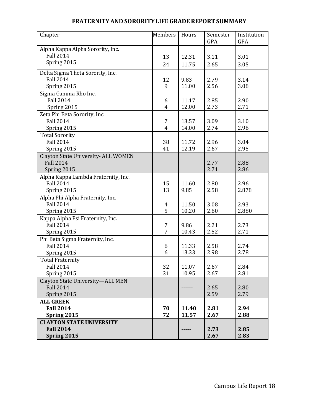| Chapter                             | <b>Members</b> | Hours | Semester   | Institution |
|-------------------------------------|----------------|-------|------------|-------------|
|                                     |                |       | <b>GPA</b> | GPA         |
| Alpha Kappa Alpha Sorority, Inc.    |                |       |            |             |
| <b>Fall 2014</b>                    | 13             | 12.31 | 3.11       | 3.01        |
| Spring 2015                         | 24             | 11.75 | 2.65       | 3.05        |
| Delta Sigma Theta Sorority, Inc.    |                |       |            |             |
| <b>Fall 2014</b>                    | 12             | 9.83  | 2.79       | 3.14        |
| Spring 2015                         | 9              | 11.00 | 2.56       | 3.08        |
| Sigma Gamma Rho Inc.                |                |       |            |             |
| <b>Fall 2014</b>                    | 6              | 11.17 | 2.85       | 2.90        |
| Spring 2015                         | 4              | 12.00 | 2.73       | 2.71        |
| Zeta Phi Beta Sorority, Inc.        |                |       |            |             |
| <b>Fall 2014</b>                    | 7              | 13.57 | 3.09       | 3.10        |
| Spring 2015                         | $\overline{4}$ | 14.00 | 2.74       | 2.96        |
| <b>Total Sorority</b>               |                |       |            |             |
| <b>Fall 2014</b>                    | 38             | 11.72 | 2.96       | 3.04        |
| Spring 2015                         | 41             | 12.19 | 2.67       | 2.95        |
| Clayton State University- ALL WOMEN |                |       |            |             |
| <b>Fall 2014</b>                    |                |       | 2.77       | 2.88        |
| Spring 2015                         |                |       | 2.71       | 2.86        |
| Alpha Kappa Lambda Fraternity, Inc. |                |       |            |             |
| <b>Fall 2014</b>                    | 15             | 11.60 | 2.80       | 2.96        |
| Spring 2015                         | 13             | 9.85  | 2.58       | 2.878       |
| Alpha Phi Alpha Fraternity, Inc.    |                |       |            |             |
| <b>Fall 2014</b>                    | 4              | 11.50 | 3.08       | 2.93        |
| Spring 2015                         | 5              | 10.20 | 2.60       | 2.880       |
| Kappa Alpha Psi Fraternity, Inc.    |                |       |            |             |
| <b>Fall 2014</b>                    | $\overline{7}$ | 9.86  | 2.21       | 2.73        |
| Spring 2015                         | 7              | 10.43 | 2.52       | 2.71        |
| Phi Beta Sigma Fraternity, Inc.     |                |       |            |             |
| <b>Fall 2014</b>                    | 6              | 11.33 | 2.58       | 2.74        |
| Spring 2015                         | 6              | 13.33 | 2.98       | 2.78        |
| <b>Total Fraternity</b>             |                |       |            |             |
| <b>Fall 2014</b>                    | 32             | 11.07 | 2.67       | 2.84        |
| Spring 2015                         | 31             | 10.95 | 2.67       | 2.81        |
| Clayton State University-ALL MEN    |                |       |            |             |
| <b>Fall 2014</b>                    |                |       | 2.65       | 2.80        |
| Spring 2015                         |                |       | 2.59       | 2.79        |
| <b>ALL GREEK</b>                    |                |       |            |             |
| <b>Fall 2014</b>                    | 70             | 11.40 | 2.81       | 2.94        |
| Spring 2015                         | 72             | 11.57 | 2.67       | 2.88        |
| <b>CLAYTON STATE UNIVERSITY</b>     |                |       |            |             |
| <b>Fall 2014</b>                    |                |       | 2.73       | 2.85        |
| Spring 2015                         |                |       | 2.67       | 2.83        |

#### **FRATERNITY AND SORORITYLIFE GRADE REPORTSUMMARY**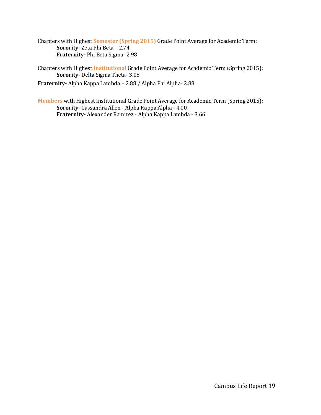Chapters with Highest **Semester (Spring 2015)** Grade Point Average for Academic Term: **Sorority-** Zeta Phi Beta – 2.74 **Fraternity-** Phi Beta Sigma- 2.98

Chapters with Highest **Institutional** Grade Point Average for Academic Term (Spring 2015): **Sorority-** Delta Sigma Theta- 3.08

**Fraternity-** Alpha Kappa Lambda – 2.88 / Alpha Phi Alpha- 2.88

**Members** with Highest Institutional Grade Point Average for Academic Term (Spring 2015): **Sorority-** Cassandra Allen - Alpha Kappa Alpha - 4.00 **Fraternity-** Alexander Ramirez - Alpha Kappa Lambda - 3.66